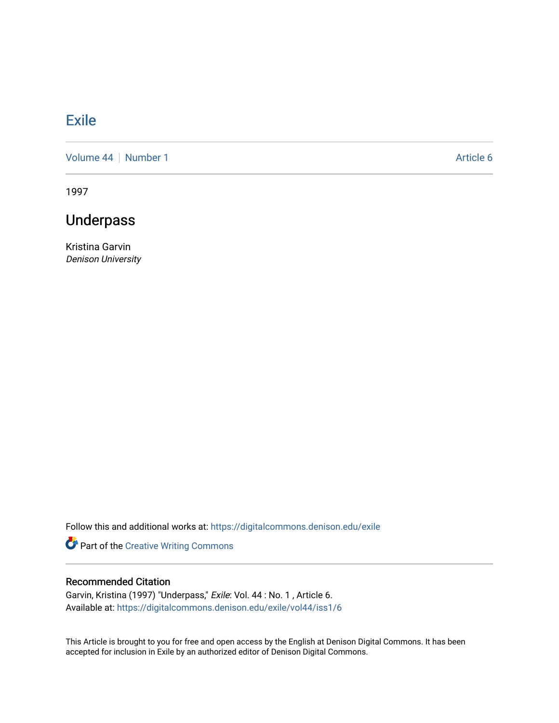## **[Exile](https://digitalcommons.denison.edu/exile)**

[Volume 44](https://digitalcommons.denison.edu/exile/vol44) | [Number 1](https://digitalcommons.denison.edu/exile/vol44/iss1) Article 6

1997

## Underpass

Kristina Garvin Denison University

Follow this and additional works at: [https://digitalcommons.denison.edu/exile](https://digitalcommons.denison.edu/exile?utm_source=digitalcommons.denison.edu%2Fexile%2Fvol44%2Fiss1%2F6&utm_medium=PDF&utm_campaign=PDFCoverPages) 

Part of the [Creative Writing Commons](http://network.bepress.com/hgg/discipline/574?utm_source=digitalcommons.denison.edu%2Fexile%2Fvol44%2Fiss1%2F6&utm_medium=PDF&utm_campaign=PDFCoverPages) 

## Recommended Citation

Garvin, Kristina (1997) "Underpass," Exile: Vol. 44 : No. 1 , Article 6. Available at: [https://digitalcommons.denison.edu/exile/vol44/iss1/6](https://digitalcommons.denison.edu/exile/vol44/iss1/6?utm_source=digitalcommons.denison.edu%2Fexile%2Fvol44%2Fiss1%2F6&utm_medium=PDF&utm_campaign=PDFCoverPages) 

This Article is brought to you for free and open access by the English at Denison Digital Commons. It has been accepted for inclusion in Exile by an authorized editor of Denison Digital Commons.